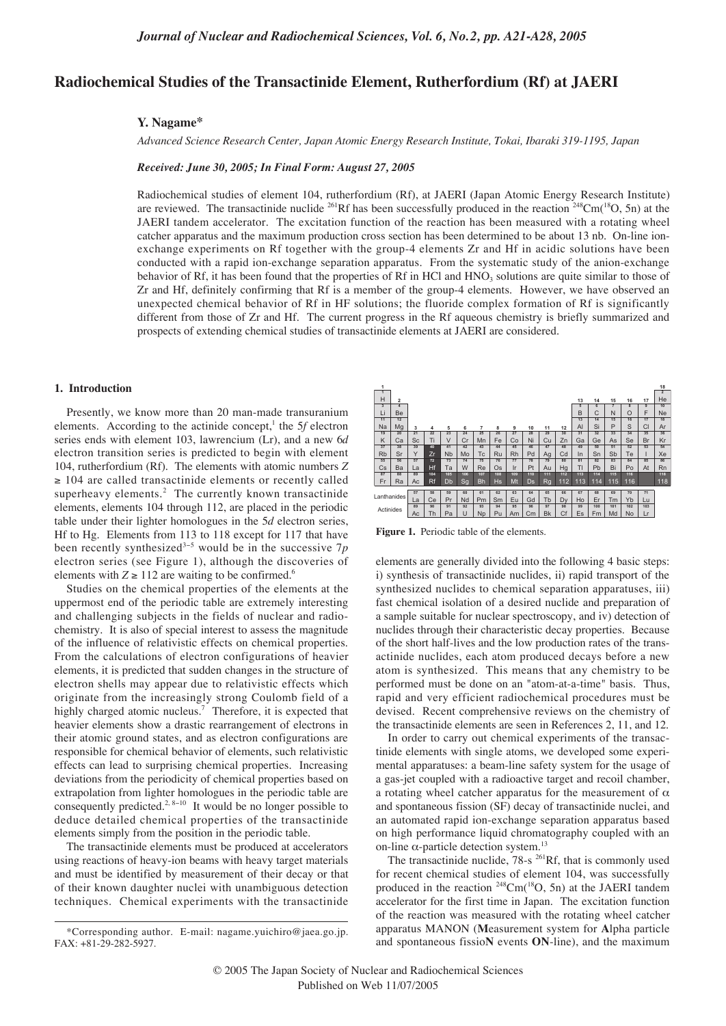# **Radiochemical Studies of the Transactinide Element, Rutherfordium (Rf) at JAERI**

#### **Y. Nagame\***

*Advanced Science Research Center, Japan Atomic Energy Research Institute, Tokai, Ibaraki 319-1195, Japan*

### *Received: June 30, 2005; In Final Form: August 27, 2005*

Radiochemical studies of element 104, rutherfordium (Rf), at JAERI (Japan Atomic Energy Research Institute) are reviewed. The transactinide nuclide <sup>261</sup>Rf has been successfully produced in the reaction <sup>248</sup>Cm(<sup>18</sup>O, 5n) at the JAERI tandem accelerator. The excitation function of the reaction has been measured with a rotating wheel catcher apparatus and the maximum production cross section has been determined to be about 13 nb. On-line ionexchange experiments on Rf together with the group-4 elements Zr and Hf in acidic solutions have been conducted with a rapid ion-exchange separation apparatus. From the systematic study of the anion-exchange behavior of Rf, it has been found that the properties of Rf in HCl and  $HNO<sub>3</sub>$  solutions are quite similar to those of Zr and Hf, definitely confirming that Rf is a member of the group-4 elements. However, we have observed an unexpected chemical behavior of Rf in HF solutions; the fluoride complex formation of Rf is significantly different from those of Zr and Hf. The current progress in the Rf aqueous chemistry is briefly summarized and prospects of extending chemical studies of transactinide elements at JAERI are considered.

## **1. Introduction**

Presently, we know more than 20 man-made transuranium elements. According to the actinide concept,<sup>1</sup> the 5*f* electron series ends with element 103, lawrencium (Lr), and a new 6*d* electron transition series is predicted to begin with element 104, rutherfordium (Rf). The elements with atomic numbers *Z* ≥ 104 are called transactinide elements or recently called superheavy elements.<sup>2</sup> The currently known transactinide elements, elements 104 through 112, are placed in the periodic table under their lighter homologues in the 5*d* electron series, Hf to Hg. Elements from 113 to 118 except for 117 that have been recently synthesized3−<sup>5</sup> would be in the successive 7*p* electron series (see Figure 1), although the discoveries of elements with  $Z \ge 112$  are waiting to be confirmed.<sup>6</sup>

Studies on the chemical properties of the elements at the uppermost end of the periodic table are extremely interesting and challenging subjects in the fields of nuclear and radiochemistry. It is also of special interest to assess the magnitude of the influence of relativistic effects on chemical properties. From the calculations of electron configurations of heavier elements, it is predicted that sudden changes in the structure of electron shells may appear due to relativistic effects which originate from the increasingly strong Coulomb field of a highly charged atomic nucleus.<sup>7</sup> Therefore, it is expected that heavier elements show a drastic rearrangement of electrons in their atomic ground states, and as electron configurations are responsible for chemical behavior of elements, such relativistic effects can lead to surprising chemical properties. Increasing deviations from the periodicity of chemical properties based on extrapolation from lighter homologues in the periodic table are consequently predicted.2, 8−<sup>10</sup> It would be no longer possible to deduce detailed chemical properties of the transactinide elements simply from the position in the periodic table.

The transactinide elements must be produced at accelerators using reactions of heavy-ion beams with heavy target materials and must be identified by measurement of their decay or that of their known daughter nuclei with unambiguous detection techniques. Chemical experiments with the transactinide

| 1<br>$\mathbf{1}$ |                |           |           |                      |     |           |           |     |     |           |     |                |                |     |                |                | 18<br>$\overline{2}$ |
|-------------------|----------------|-----------|-----------|----------------------|-----|-----------|-----------|-----|-----|-----------|-----|----------------|----------------|-----|----------------|----------------|----------------------|
| H                 | $\overline{2}$ |           |           |                      |     |           |           |     |     |           |     | 13             | 14             | 15  | 16             | 17             | He                   |
|                   | 4              |           |           |                      |     |           |           |     |     |           |     | $\overline{5}$ | $\overline{6}$ | 7   | $\overline{8}$ | $\overline{9}$ | 10                   |
| Li                | Be             |           |           |                      |     |           |           |     |     |           |     | B              | C              | N   | $\Omega$       | F              | Ne                   |
| 11                | 12             |           |           |                      |     |           |           |     |     |           |     | 13             | 14             | 15  | 16             | 17             | 18                   |
| Na                | Mg             | 3         | 4         | 5                    | 6   | 7         | 8         | 9   | 10  | 11        | 12  | AI             | Si             | P   | S              | CI             | Ar                   |
| 19                | 20             | 21        | 22        | 23                   | 24  | 25        | 26        | 27  | 28  | 29        | 30  | 31             | 32             | 33  | 34             | 35             | 36                   |
| K                 | Ca             | <b>Sc</b> | Ti        | V                    | Cr  | Mn        | Fe        | Co  | Ni  | Cu        | Zn  | Ga             | Ge             | As  | Se             | Br             | Kr                   |
| $\overline{37}$   | 38             | 39        | 40        | 41                   | 42  | 43        | 44        | 45  | 46  | 47        | 48  | 49             | 50             | 51  | 52             | 53             | 54                   |
| Rb                | Sr             | Y         | Zr        | <b>N<sub>b</sub></b> | Mo  | Тc        | Ru        | Rh  | Pd  | Ag        | Cd  | In             | Sn             | Sb  | Te             | ٠              | Xe                   |
| 55                | 56             | 57        | 72        | 73                   | 74  | 75        | 76        | 77  | 78  | 79        | 80  | 81             | 82             | 83  | 84             | 85             | 86                   |
| Cs                | Ba             | La        | Hf        | Тa                   | W   | Re        | Os        | Ir  | Pt  | Au        | Hg  | TI             | Pb             | Bi  | Po             | At             | Rn                   |
| $\overline{87}$   | 88             | 89        | 104       | 105                  | 106 | 107       | 108       | 109 | 110 | 111       | 112 | 113            | 114            | 115 | 116            |                | 118                  |
| Fr                | Ra             | Ac        | <b>Rf</b> | Db                   | Sq  | Bh        | <b>Hs</b> | Mt  | Ds  | Rq        | 112 | 113            | 114            | 115 | 116            |                | 118                  |
|                   |                | 57        | 58        | 59                   | 60  | 61        | 62        | 63  | 64  | 65        | 66  | 67             | 68             | 69  | 70             | 71             |                      |
| Lanthanides       |                |           |           |                      |     |           |           |     |     |           |     |                |                |     |                |                |                      |
|                   |                | La        | Сe        | Pr                   | Nd  | Pm        | Sm        | Eu  | Gd  | Tb        | Dv  | Ho             | Er             | Тm  | Yb             | Lu             |                      |
| Actinides         |                | 89        | 90        | 91                   | 92  | 93        | 94        | 95  | 96  | 97        | 98  | 99             | 100            | 101 | 102            | 103            |                      |
|                   |                | Ac        | Th        | Pa                   | U   | <b>Np</b> | Pu        | Am  | Cm  | <b>Bk</b> | Cf  | Es             | Fm             | Md  | No             | Lr             |                      |

**Figure 1.** Periodic table of the elements.

elements are generally divided into the following 4 basic steps: i) synthesis of transactinide nuclides, ii) rapid transport of the synthesized nuclides to chemical separation apparatuses, iii) fast chemical isolation of a desired nuclide and preparation of a sample suitable for nuclear spectroscopy, and iv) detection of nuclides through their characteristic decay properties. Because of the short half-lives and the low production rates of the transactinide nuclides, each atom produced decays before a new atom is synthesized. This means that any chemistry to be performed must be done on an "atom-at-a-time" basis. Thus, rapid and very efficient radiochemical procedures must be devised. Recent comprehensive reviews on the chemistry of the transactinide elements are seen in References 2, 11, and 12.

In order to carry out chemical experiments of the transactinide elements with single atoms, we developed some experimental apparatuses: a beam-line safety system for the usage of a gas-jet coupled with a radioactive target and recoil chamber, a rotating wheel catcher apparatus for the measurement of  $\alpha$ and spontaneous fission (SF) decay of transactinide nuclei, and an automated rapid ion-exchange separation apparatus based on high performance liquid chromatography coupled with an on-line  $\alpha$ -particle detection system.<sup>13</sup>

The transactinide nuclide, 78-s <sup>261</sup>Rf, that is commonly used for recent chemical studies of element 104, was successfully produced in the reaction <sup>248</sup>Cm(<sup>18</sup>O, 5n) at the JAERI tandem accelerator for the first time in Japan. The excitation function of the reaction was measured with the rotating wheel catcher apparatus MANON (**M**easurement system for **A**lpha particle and spontaneous fissio**N** events **ON**-line), and the maximum

<sup>\*</sup>Corresponding author. E-mail: nagame.yuichiro@jaea.go.jp. FAX: +81-29-282-5927.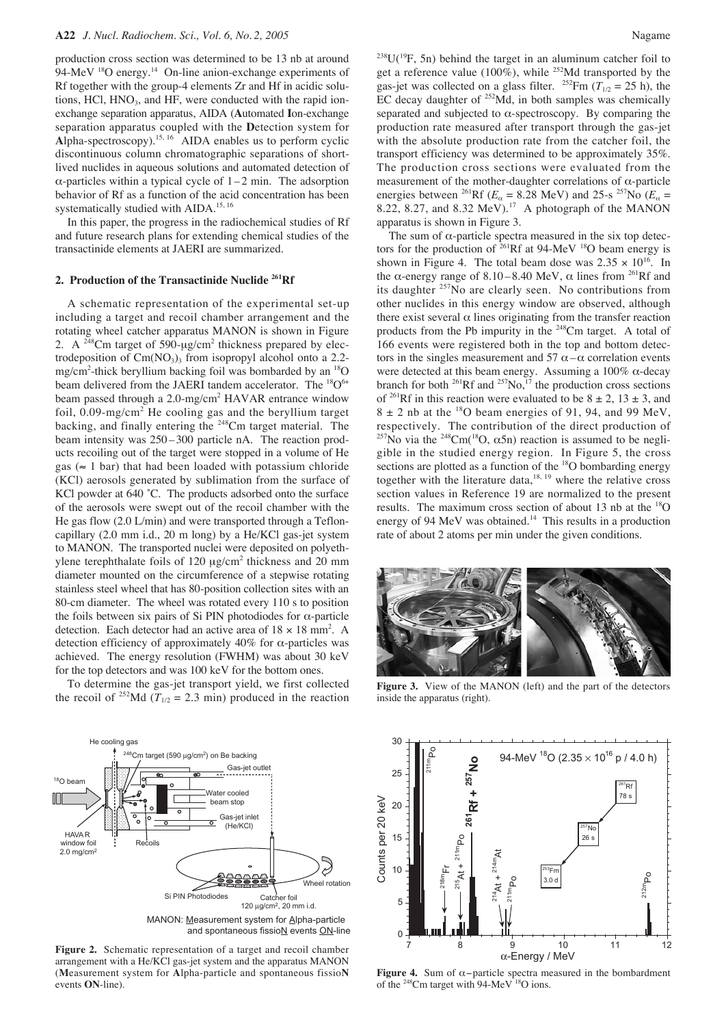production cross section was determined to be 13 nb at around 94-MeV <sup>18</sup>O energy.<sup>14</sup> On-line anion-exchange experiments of Rf together with the group-4 elements Zr and Hf in acidic solutions,  $HC1$ ,  $HNO<sub>3</sub>$ , and  $HF$ , were conducted with the rapid ionexchange separation apparatus, AIDA (**A**utomated **I**on-exchange separation apparatus coupled with the **D**etection system for  $\overrightarrow{\text{Alpha-spectroscopy}}$ .<sup>15, 16</sup> AIDA enables us to perform cyclic discontinuous column chromatographic separations of shortlived nuclides in aqueous solutions and automated detection of  $\alpha$ -particles within a typical cycle of  $1 - 2$  min. The adsorption behavior of Rf as a function of the acid concentration has been systematically studied with AIDA.<sup>15, 16</sup>

In this paper, the progress in the radiochemical studies of Rf and future research plans for extending chemical studies of the transactinide elements at JAERI are summarized.

#### **2. Production of the Transactinide Nuclide 261Rf**

A schematic representation of the experimental set-up including a target and recoil chamber arrangement and the rotating wheel catcher apparatus MANON is shown in Figure 2. A  $^{248}$ Cm target of 590- $\mu$ g/cm<sup>2</sup> thickness prepared by electrodeposition of  $Cm(NO<sub>3</sub>)<sub>3</sub>$  from isopropyl alcohol onto a 2.2mg/cm<sup>2</sup>-thick beryllium backing foil was bombarded by an <sup>18</sup>O beam delivered from the JAERI tandem accelerator. The <sup>18</sup>O<sup>6+</sup> beam passed through a 2.0-mg/cm<sup>2</sup> HAVAR entrance window foil,  $0.09 \text{-mg/cm}^2$  He cooling gas and the beryllium target backing, and finally entering the 248Cm target material. The beam intensity was  $250 - 300$  particle nA. The reaction products recoiling out of the target were stopped in a volume of He gas ( $\approx$  1 bar) that had been loaded with potassium chloride (KCl) aerosols generated by sublimation from the surface of KCl powder at 640 °C. The products adsorbed onto the surface of the aerosols were swept out of the recoil chamber with the He gas flow (2.0 L/min) and were transported through a Tefloncapillary (2.0 mm i.d., 20 m long) by a He/KCl gas-jet system to MANON. The transported nuclei were deposited on polyethylene terephthalate foils of 120 µg/cm<sup>2</sup> thickness and 20 mm diameter mounted on the circumference of a stepwise rotating stainless steel wheel that has 80-position collection sites with an 80-cm diameter. The wheel was rotated every 110 s to position the foils between six pairs of Si PIN photodiodes for α-particle detection. Each detector had an active area of  $18 \times 18$  mm<sup>2</sup>. A detection efficiency of approximately  $40\%$  for  $\alpha$ -particles was achieved. The energy resolution (FWHM) was about 30 keV for the top detectors and was 100 keV for the bottom ones.

To determine the gas-jet transport yield, we first collected the recoil of <sup>252</sup>Md ( $T_{1/2}$  = 2.3 min) produced in the reaction



and spontaneous fissioN events ON-line

**Figure 2.** Schematic representation of a target and recoil chamber arrangement with a He/KCl gas-jet system and the apparatus MANON (**M**easurement system for **A**lpha-particle and spontaneous fissio**N** events **ON**-line).

 $238U(^{19}F, 5n)$  behind the target in an aluminum catcher foil to get a reference value (100%), while <sup>252</sup>Md transported by the gas-jet was collected on a glass filter. <sup>252</sup>Fm ( $T_{1/2}$  = 25 h), the EC decay daughter of  $^{252}$ Md, in both samples was chemically separated and subjected to  $\alpha$ -spectroscopy. By comparing the production rate measured after transport through the gas-jet with the absolute production rate from the catcher foil, the transport efficiency was determined to be approximately 35%. The production cross sections were evaluated from the measurement of the mother-daughter correlations of  $\alpha$ -particle energies between <sup>261</sup>Rf ( $E_\alpha$  = 8.28 MeV) and 25-s <sup>257</sup>No ( $E_\alpha$  = 8.22, 8.27, and 8.32 MeV).<sup>17</sup> A photograph of the MANON apparatus is shown in Figure 3.

The sum of  $\alpha$ -particle spectra measured in the six top detectors for the production of  $^{261}$ Rf at 94-MeV <sup>18</sup>O beam energy is shown in Figure 4. The total beam dose was  $2.35 \times 10^{16}$ . In the  $\alpha$ -energy range of 8.10–8.40 MeV,  $\alpha$  lines from <sup>261</sup>Rf and its daughter <sup>257</sup>No are clearly seen. No contributions from other nuclides in this energy window are observed, although there exist several  $\alpha$  lines originating from the transfer reaction products from the Pb impurity in the 248Cm target. A total of 166 events were registered both in the top and bottom detectors in the singles measurement and 57  $\alpha - \alpha$  correlation events were detected at this beam energy. Assuming a  $100\%$   $\alpha$ -decay branch for both  $^{261}Rf$  and  $^{257}No$ ,  $^{17}$  the production cross sections of <sup>261</sup>Rf in this reaction were evaluated to be  $8 \pm 2$ ,  $13 \pm 3$ , and  $8 \pm 2$  nb at the <sup>18</sup>O beam energies of 91, 94, and 99 MeV, respectively. The contribution of the direct production of <sup>257</sup>No via the <sup>248</sup>Cm(<sup>18</sup>O,  $\alpha$ 5n) reaction is assumed to be negligible in the studied energy region. In Figure 5, the cross sections are plotted as a function of the <sup>18</sup>O bombarding energy together with the literature data, $18, 19$  where the relative cross section values in Reference 19 are normalized to the present results. The maximum cross section of about 13 nb at the 18O energy of 94 MeV was obtained.<sup>14</sup> This results in a production rate of about 2 atoms per min under the given conditions.



**Figure 3.** View of the MANON (left) and the part of the detectors inside the apparatus (right).



**Figure 4.** Sum of α−particle spectra measured in the bombardment of the <sup>248</sup>Cm target with 94-MeV <sup>18</sup>O ions.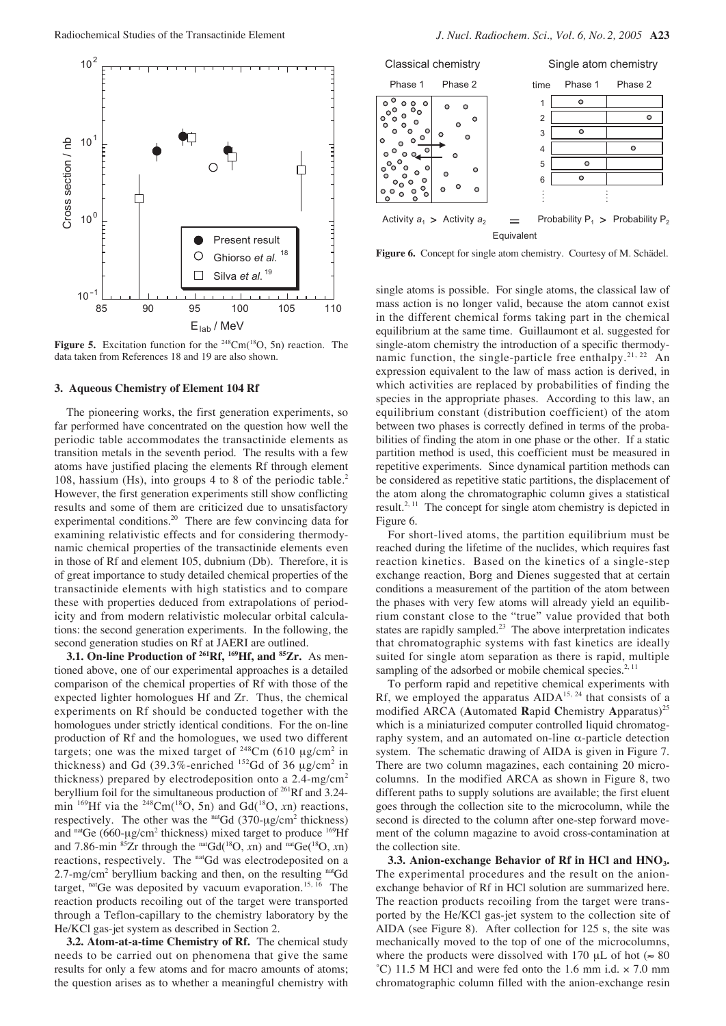

Figure 5. Excitation function for the <sup>248</sup>Cm(<sup>18</sup>O, 5n) reaction. The data taken from References 18 and 19 are also shown.

#### **3. Aqueous Chemistry of Element 104 Rf**

The pioneering works, the first generation experiments, so far performed have concentrated on the question how well the periodic table accommodates the transactinide elements as transition metals in the seventh period. The results with a few atoms have justified placing the elements Rf through element 108, hassium (Hs), into groups 4 to 8 of the periodic table.<sup>2</sup> However, the first generation experiments still show conflicting results and some of them are criticized due to unsatisfactory experimental conditions.<sup>20</sup> There are few convincing data for examining relativistic effects and for considering thermodynamic chemical properties of the transactinide elements even in those of Rf and element 105, dubnium (Db). Therefore, it is of great importance to study detailed chemical properties of the transactinide elements with high statistics and to compare these with properties deduced from extrapolations of periodicity and from modern relativistic molecular orbital calculations: the second generation experiments. In the following, the second generation studies on Rf at JAERI are outlined.

**3.1. On-line Production of 261Rf, 169Hf, and 85Zr.** As mentioned above, one of our experimental approaches is a detailed comparison of the chemical properties of Rf with those of the expected lighter homologues Hf and Zr. Thus, the chemical experiments on Rf should be conducted together with the homologues under strictly identical conditions. For the on-line production of Rf and the homologues, we used two different targets; one was the mixed target of  $248$ Cm (610 µg/cm<sup>2</sup> in thickness) and Gd (39.3%-enriched  $152$ Gd of 36  $\mu$ g/cm<sup>2</sup> in thickness) prepared by electrodeposition onto a  $2.4 \text{-mg/cm}^2$ beryllium foil for the simultaneous production of <sup>261</sup>Rf and 3.24min <sup>169</sup>Hf via the <sup>248</sup>Cm(<sup>18</sup>O, 5n) and Gd(<sup>18</sup>O, *xn*) reactions, respectively. The other was the  $n \cdot \text{Gd}$  (370- $\mu \text{g/cm}^2$  thickness) and natGe (660-µg/cm<sup>2</sup> thickness) mixed target to produce  $169$ Hf and 7.86-min <sup>85</sup>Zr through the <sup>nat</sup>Gd<sup>(18</sup>O, *x*n) and <sup>nat</sup>Ge<sup>(18</sup>O, *x*n) reactions, respectively. The natGd was electrodeposited on a  $2.7$ -mg/cm<sup>2</sup> beryllium backing and then, on the resulting  $n \times G$ d target, natGe was deposited by vacuum evaporation.<sup>15, 16</sup> The reaction products recoiling out of the target were transported through a Teflon-capillary to the chemistry laboratory by the He/KCl gas-jet system as described in Section 2.

**3.2. Atom-at-a-time Chemistry of Rf.** The chemical study needs to be carried out on phenomena that give the same results for only a few atoms and for macro amounts of atoms; the question arises as to whether a meaningful chemistry with



**Figure 6.** Concept for single atom chemistry. Courtesy of M. Schädel.

single atoms is possible. For single atoms, the classical law of mass action is no longer valid, because the atom cannot exist in the different chemical forms taking part in the chemical equilibrium at the same time. Guillaumont et al. suggested for single-atom chemistry the introduction of a specific thermodynamic function, the single-particle free enthalpy.<sup>21, 22</sup> An expression equivalent to the law of mass action is derived, in which activities are replaced by probabilities of finding the species in the appropriate phases. According to this law, an equilibrium constant (distribution coefficient) of the atom between two phases is correctly defined in terms of the probabilities of finding the atom in one phase or the other. If a static partition method is used, this coefficient must be measured in repetitive experiments. Since dynamical partition methods can be considered as repetitive static partitions, the displacement of the atom along the chromatographic column gives a statistical result.2, 11 The concept for single atom chemistry is depicted in Figure 6.

For short-lived atoms, the partition equilibrium must be reached during the lifetime of the nuclides, which requires fast reaction kinetics. Based on the kinetics of a single-step exchange reaction, Borg and Dienes suggested that at certain conditions a measurement of the partition of the atom between the phases with very few atoms will already yield an equilibrium constant close to the "true" value provided that both states are rapidly sampled.<sup>23</sup> The above interpretation indicates that chromatographic systems with fast kinetics are ideally suited for single atom separation as there is rapid, multiple sampling of the adsorbed or mobile chemical species.<sup>2, 11</sup>

To perform rapid and repetitive chemical experiments with Rf, we employed the apparatus  $AIDA<sup>15, 24</sup>$  that consists of a modified ARCA (**A**utomated **R**apid **C**hemistry **A**pparatus)<sup>25</sup> which is a miniaturized computer controlled liquid chromatography system, and an automated on-line  $\alpha$ -particle detection system. The schematic drawing of AIDA is given in Figure 7. There are two column magazines, each containing 20 microcolumns. In the modified ARCA as shown in Figure 8, two different paths to supply solutions are available; the first eluent goes through the collection site to the microcolumn, while the second is directed to the column after one-step forward movement of the column magazine to avoid cross-contamination at the collection site.

**3.3. Anion-exchange Behavior of Rf in HCl and HNO3.** The experimental procedures and the result on the anionexchange behavior of Rf in HCl solution are summarized here. The reaction products recoiling from the target were transported by the He/KCl gas-jet system to the collection site of AIDA (see Figure 8). After collection for 125 s, the site was mechanically moved to the top of one of the microcolumns, where the products were dissolved with 170  $\mu$ L of hot ( $\approx 80$ ) ˚C) 11.5 M HCl and were fed onto the 1.6 mm i.d. × 7.0 mm chromatographic column filled with the anion-exchange resin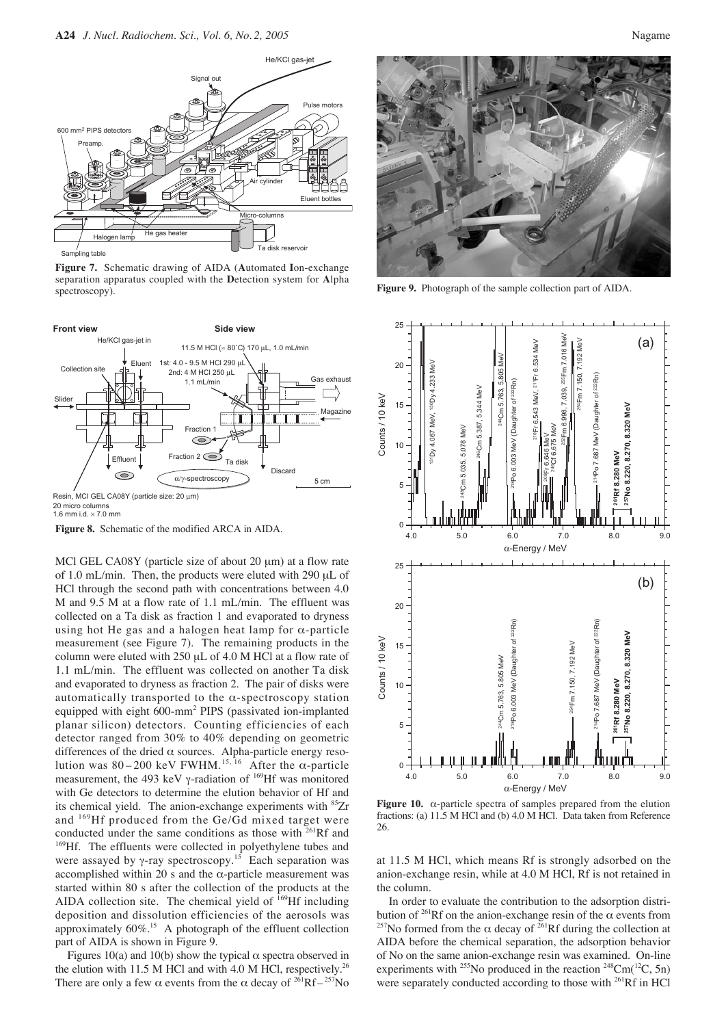

**Figure 7.** Schematic drawing of AIDA (**A**utomated **I**on-exchange separation apparatus coupled with the **D**etection system for **A**lpha spectroscopy).



**Figure 8.** Schematic of the modified ARCA in AIDA. <sup>0</sup>

MCl GEL CA08Y (particle size of about 20  $\mu$ m) at a flow rate of 1.0 mL/min. Then, the products were eluted with 290 µL of HCl through the second path with concentrations between 4.0 M and 9.5 M at a flow rate of 1.1 mL/min. The effluent was collected on a Ta disk as fraction 1 and evaporated to dryness using hot He gas and a halogen heat lamp for  $\alpha$ -particle measurement (see Figure 7). The remaining products in the column were eluted with 250 µL of 4.0 M HCl at a flow rate of 1.1 mL/min. The effluent was collected on another Ta disk and evaporated to dryness as fraction 2. The pair of disks were automatically transported to the  $\alpha$ -spectroscopy station equipped with eight 600-mm2 PIPS (passivated ion-implanted planar silicon) detectors. Counting efficiencies of each detector ranged from 30% to 40% depending on geometric differences of the dried  $\alpha$  sources. Alpha-particle energy resolution was 80–200 keV FWHM.<sup>15, 16</sup> After the  $\alpha$ -particle measurement, the 493 keV γ-radiation of <sup>169</sup>Hf was monitored with Ge detectors to determine the elution behavior of Hf and its chemical yield. The anion-exchange experiments with <sup>85</sup>Zr and <sup>169</sup>Hf produced from the Ge/Gd mixed target were conducted under the same conditions as those with  $261Rf$  and <sup>169</sup>Hf. The effluents were collected in polyethylene tubes and were assayed by  $\gamma$ -ray spectroscopy.<sup>15</sup> Each separation was accomplished within 20 s and the  $\alpha$ -particle measurement was started within 80 s after the collection of the products at the AIDA collection site. The chemical yield of  $169$ Hf including deposition and dissolution efficiencies of the aerosols was approximately  $60\%$ .<sup>15</sup> A photograph of the effluent collection part of AIDA is shown in Figure 9.

Figures 10(a) and 10(b) show the typical  $\alpha$  spectra observed in the elution with 11.5 M HCl and with 4.0 M HCl, respectively.<sup>26</sup> There are only a few  $\alpha$  events from the  $\alpha$  decay of <sup>261</sup>Rf – <sup>257</sup>No



**Figure 9.** Photograph of the sample collection part of AIDA.



**Figure 10.** α-particle spectra of samples prepared from the elution fractions: (a) 11.5 M HCl and (b) 4.0 M HCl. Data taken from Reference 26.

at 11.5 M HCl, which means Rf is strongly adsorbed on the anion-exchange resin, while at 4.0 M HCl, Rf is not retained in the column.

In order to evaluate the contribution to the adsorption distribution of <sup>261</sup>Rf on the anion-exchange resin of the  $\alpha$  events from <sup>257</sup>No formed from the  $\alpha$  decay of <sup>261</sup>Rf during the collection at AIDA before the chemical separation, the adsorption behavior of No on the same anion-exchange resin was examined. On-line experiments with <sup>255</sup>No produced in the reaction <sup>248</sup>Cm( $^{12}C$ , 5n) were separately conducted according to those with <sup>261</sup>Rf in HCl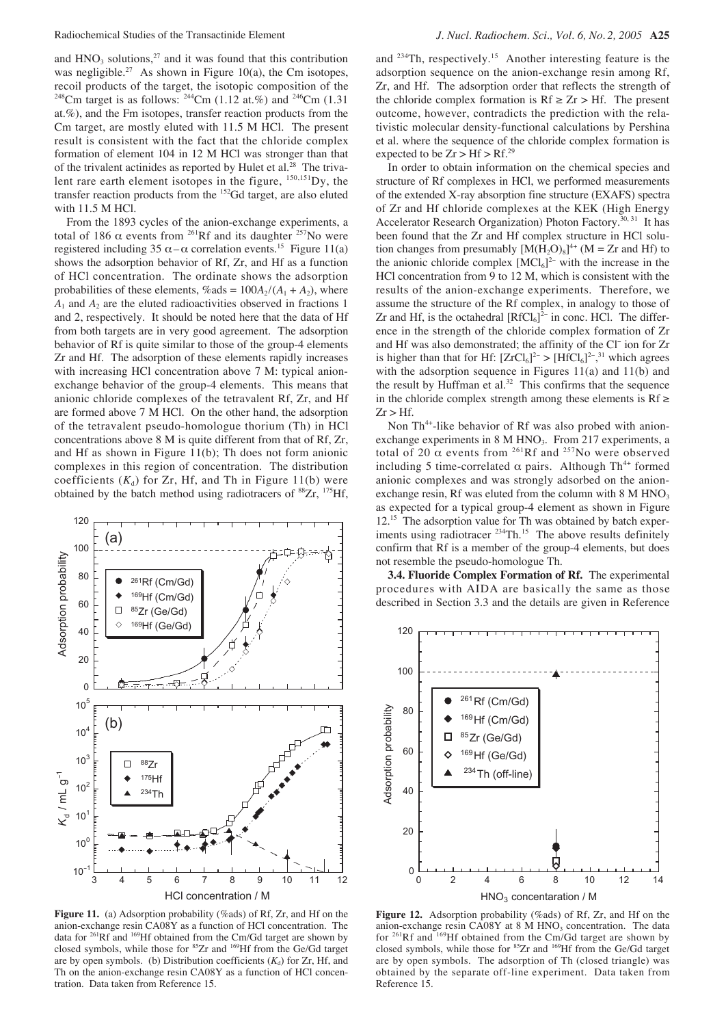and  $HNO<sub>3</sub>$  solutions,<sup>27</sup> and it was found that this contribution was negligible.<sup>27</sup> As shown in Figure 10(a), the Cm isotopes, recoil products of the target, the isotopic composition of the <sup>248</sup>Cm target is as follows: <sup>244</sup>Cm (1.12 at.%) and <sup>246</sup>Cm (1.31) at.%), and the Fm isotopes, transfer reaction products from the Cm target, are mostly eluted with 11.5 M HCl. The present result is consistent with the fact that the chloride complex formation of element 104 in 12 M HCl was stronger than that of the trivalent actinides as reported by Hulet et al.<sup>28</sup> The trivalent rare earth element isotopes in the figure,  $150,151$ Dy, the transfer reaction products from the 152Gd target, are also eluted with 11.5 M HCl.

From the 1893 cycles of the anion-exchange experiments, a total of 186  $\alpha$  events from <sup>261</sup>Rf and its daughter <sup>257</sup>No were registered including 35  $\alpha - \alpha$  correlation events.<sup>15</sup> Figure 11(a) shows the adsorption behavior of Rf, Zr, and Hf as a function of HCl concentration. The ordinate shows the adsorption probabilities of these elements,  $\%$  ads =  $100A_2/(A_1 + A_2)$ , where  $A_1$  and  $A_2$  are the eluted radioactivities observed in fractions 1 and 2, respectively. It should be noted here that the data of Hf from both targets are in very good agreement. The adsorption behavior of Rf is quite similar to those of the group-4 elements Zr and Hf. The adsorption of these elements rapidly increases with increasing HCl concentration above 7 M: typical anionexchange behavior of the group-4 elements. This means that anionic chloride complexes of the tetravalent Rf, Zr, and Hf are formed above 7 M HCl. On the other hand, the adsorption of the tetravalent pseudo-homologue thorium (Th) in HCl concentrations above 8 M is quite different from that of Rf, Zr, and Hf as shown in Figure 11(b); Th does not form anionic complexes in this region of concentration. The distribution coefficients  $(K_d)$  for Zr, Hf, and Th in Figure 11(b) were obtained by the batch method using radiotracers of <sup>88</sup>Zr, <sup>175</sup>Hf,



Figure 11. (a) Adsorption probability (%ads) of Rf, Zr, and Hf on the anion-exchange resin CA08Y as a function of HCl concentration. The data for 261Rf and 169Hf obtained from the Cm/Gd target are shown by closed symbols, while those for 85Zr and 169Hf from the Ge/Gd target are by open symbols. (b) Distribution coefficients  $(K_d)$  for Zr, Hf, and Th on the anion-exchange resin CA08Y as a function of HCl concentration. Data taken from Reference 15.

and <sup>234</sup>Th, respectively.<sup>15</sup> Another interesting feature is the adsorption sequence on the anion-exchange resin among Rf, Zr, and Hf. The adsorption order that reflects the strength of the chloride complex formation is  $Rf \geq Zr > Hf$ . The present outcome, however, contradicts the prediction with the relativistic molecular density-functional calculations by Pershina et al. where the sequence of the chloride complex formation is expected to be  $Zr > Hf > Rf.<sup>29</sup>$ 

In order to obtain information on the chemical species and structure of Rf complexes in HCl, we performed measurements of the extended X-ray absorption fine structure (EXAFS) spectra of Zr and Hf chloride complexes at the KEK (High Energy Accelerator Research Organization) Photon Factory.<sup>30, 31</sup> It has been found that the Zr and Hf complex structure in HCl solution changes from presumably  $[M(H_2O)_8]^{4+}$  (M = Zr and Hf) to the anionic chloride complex  $[MCl_6]^2$ <sup>-</sup> with the increase in the HCl concentration from 9 to 12 M, which is consistent with the results of the anion-exchange experiments. Therefore, we assume the structure of the Rf complex, in analogy to those of Zr and Hf, is the octahedral  $[RfCl_6]^{2-}$  in conc. HCl. The difference in the strength of the chloride complex formation of Zr and Hf was also demonstrated; the affinity of the Cl<sup>−</sup> ion for Zr is higher than that for Hf:  $[ZrCl_6]^2$  >  $[HfCl_6]^2$ <sup>-, 31</sup> which agrees with the adsorption sequence in Figures 11(a) and 11(b) and the result by Huffman et al. $32$  This confirms that the sequence in the chloride complex strength among these elements is  $Rf \geq$  $Zr > Hf$ .

Non Th<sup>4+</sup>-like behavior of Rf was also probed with anionexchange experiments in 8 M HNO<sub>3</sub>. From 217 experiments, a total of 20  $\alpha$  events from <sup>261</sup>Rf and <sup>257</sup>No were observed including 5 time-correlated  $\alpha$  pairs. Although Th<sup>4+</sup> formed anionic complexes and was strongly adsorbed on the anionexchange resin, Rf was eluted from the column with  $8 \text{ M HNO}_3$ as expected for a typical group-4 element as shown in Figure 12.<sup>15</sup> The adsorption value for Th was obtained by batch experiments using radiotracer <sup>234</sup>Th.<sup>15</sup> The above results definitely confirm that Rf is a member of the group-4 elements, but does not resemble the pseudo-homologue Th.

**3.4. Fluoride Complex Formation of Rf.** The experimental procedures with AIDA are basically the same as those described in Section 3.3 and the details are given in Reference



Figure 12. Adsorption probability (%ads) of Rf, Zr, and Hf on the anion-exchange resin CA08Y at 8 M HNO<sub>3</sub> concentration. The data for  $^{261}$ Rf and  $^{169}$ Hf obtained from the Cm/Gd target are shown by closed symbols, while those for <sup>85</sup>Zr and <sup>169</sup>Hf from the Ge/Gd target are by open symbols. The adsorption of Th (closed triangle) was obtained by the separate off-line experiment. Data taken from Reference 15.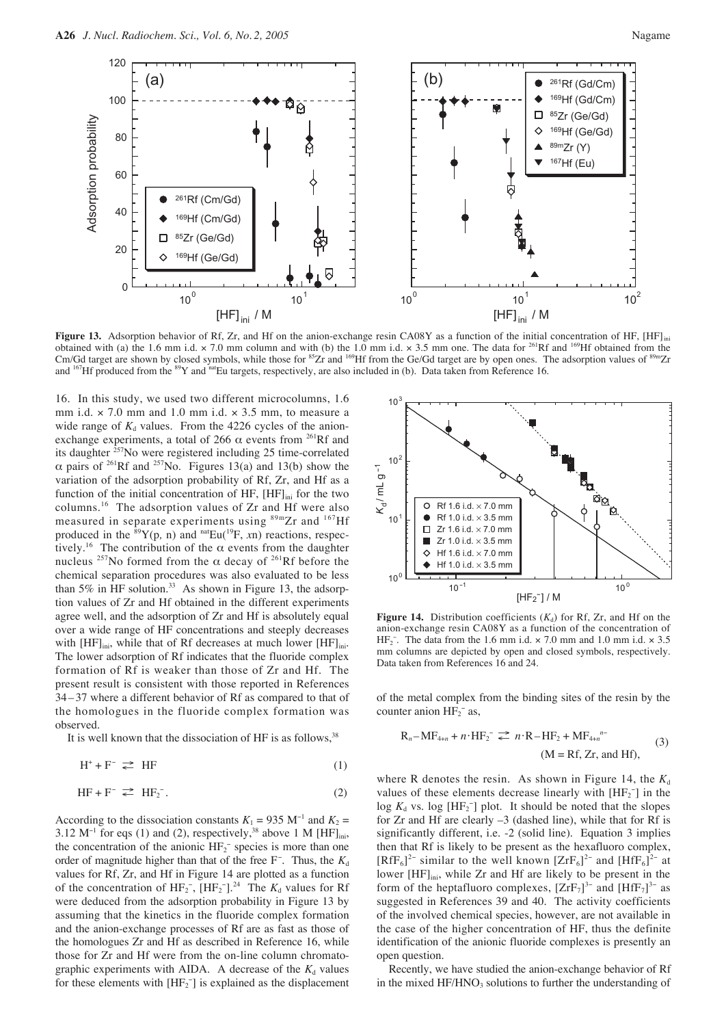

**Figure 13.** Adsorption behavior of Rf, Zr, and Hf on the anion-exchange resin CA08Y as a function of the initial concentration of HF, [HF]<sub>ini</sub> obtained with (a) the 1.6 mm i.d.  $\times$  7.0 mm column and with (b) the 1.0 mm i.d.  $\times$  3.5 mm one. The data for <sup>261</sup>Rf and <sup>169</sup>Hf obtained from the Cm/Gd target are shown by closed symbols, while those for <sup>85</sup>Zr and <sup>169</sup>Hf from the Ge/Gd target are by open ones. The adsorption values of <sup>89m</sup>Zr and <sup>167</sup>Hf produced from the <sup>89</sup>Y and <sup>nat</sup>Eu targets, respectively, are also included in (b). Data taken from Reference 16.

16. In this study, we used two different microcolumns, 1.6 mm i.d.  $\times$  7.0 mm and 1.0 mm i.d.  $\times$  3.5 mm, to measure a wide range of  $K_d$  values. From the 4226 cycles of the anionexchange experiments, a total of 266  $\alpha$  events from <sup>261</sup>Rf and its daughter  ${}^{257}$ No were registered including 25 time-correlated α pairs of 261Rf and 257No. Figures 13(a) and 13(b) show the variation of the adsorption probability of Rf, Zr, and Hf as a function of the initial concentration of HF,  $[HF]_{ini}$  for the two columns.<sup>16</sup> The adsorption values of Zr and Hf were also measured in separate experiments using <sup>89m</sup>Zr and <sup>167</sup>Hf produced in the  ${}^{89}Y(p, n)$  and  ${}^{nat}Eu({}^{19}F, xn)$  reactions, respectively.<sup>16</sup> The contribution of the  $\alpha$  events from the daughter nucleus <sup>257</sup>No formed from the α decay of <sup>261</sup>Rf before the chemical separation procedures was also evaluated to be less than 5% in HF solution. $33$  As shown in Figure 13, the adsorption values of Zr and Hf obtained in the different experiments agree well, and the adsorption of Zr and Hf is absolutely equal over a wide range of HF concentrations and steeply decreases with  $[HF]_{\text{ini}}$ , while that of Rf decreases at much lower  $[HF]_{\text{ini}}$ . The lower adsorption of Rf indicates that the fluoride complex formation of Rf is weaker than those of Zr and Hf. The present result is consistent with those reported in References 34 – 37 where a different behavior of Rf as compared to that of the homologues in the fluoride complex formation was observed.

It is well known that the dissociation of HF is as follows,  $38$ 

$$
H^+ + F^- \ncong HF \tag{1}
$$

$$
HF + F^- \rightleftarrows HF_2^-.
$$
 (2)

According to the dissociation constants  $K_1 = 935 \text{ M}^{-1}$  and  $K_2 =$ 3.12 M<sup>-1</sup> for eqs (1) and (2), respectively,<sup>38</sup> above 1 M [HF]<sub>ini</sub>, the concentration of the anionic  $HF_2^-$  species is more than one order of magnitude higher than that of the free F<sup>-</sup>. Thus, the  $K_d$ values for Rf, Zr, and Hf in Figure 14 are plotted as a function of the concentration of  $HF_2^-$ ,  $[HF_2^-]$ .<sup>24</sup> The  $K_d$  values for Rf were deduced from the adsorption probability in Figure 13 by assuming that the kinetics in the fluoride complex formation and the anion-exchange processes of Rf are as fast as those of the homologues Zr and Hf as described in Reference 16, while those for Zr and Hf were from the on-line column chromatographic experiments with AIDA. A decrease of the  $K_d$  values for these elements with  $[HF_2^-]$  is explained as the displacement



**Figure 14.** Distribution coefficients  $(K_d)$  for Rf, Zr, and Hf on the anion-exchange resin CA08Y as a function of the concentration of HF<sub>2</sub><sup>-</sup>. The data from the 1.6 mm i.d.  $\times$  7.0 mm and 1.0 mm i.d.  $\times$  3.5 mm columns are depicted by open and closed symbols, respectively. Data taken from References 16 and 24.

of the metal complex from the binding sites of the resin by the counter anion  $HF_2^-$  as,

$$
R_n - MF_{4+n} + n \cdot HF_2^- \rightleftharpoons n \cdot R - HF_2 + MF_{4+n}^{n-}
$$
  
\n
$$
(M = Rf, Zr, \text{ and } HF),
$$
\n(3)

where R denotes the resin. As shown in Figure 14, the  $K_d$ values of these elements decrease linearly with  $[HF_2^-]$  in the  $\log K_d$  vs.  $\log [\text{HF}_2^-]$  plot. It should be noted that the slopes for Zr and Hf are clearly –3 (dashed line), while that for Rf is significantly different, i.e. -2 (solid line). Equation 3 implies then that Rf is likely to be present as the hexafluoro complex,  $[RfF_6]^2$ <sup>-</sup> similar to the well known  $[ZrF_6]^2$ <sup>-</sup> and  $[HfF_6]^2$ <sup>-</sup> at lower [HF]<sub>ini</sub>, while Zr and Hf are likely to be present in the form of the heptafluoro complexes,  $[ZrF_7]^{3-}$  and  $[HfF_7]^{3-}$  as suggested in References 39 and 40. The activity coefficients of the involved chemical species, however, are not available in the case of the higher concentration of HF, thus the definite identification of the anionic fluoride complexes is presently an open question.

Recently, we have studied the anion-exchange behavior of Rf in the mixed  $HF/HNO<sub>3</sub>$  solutions to further the understanding of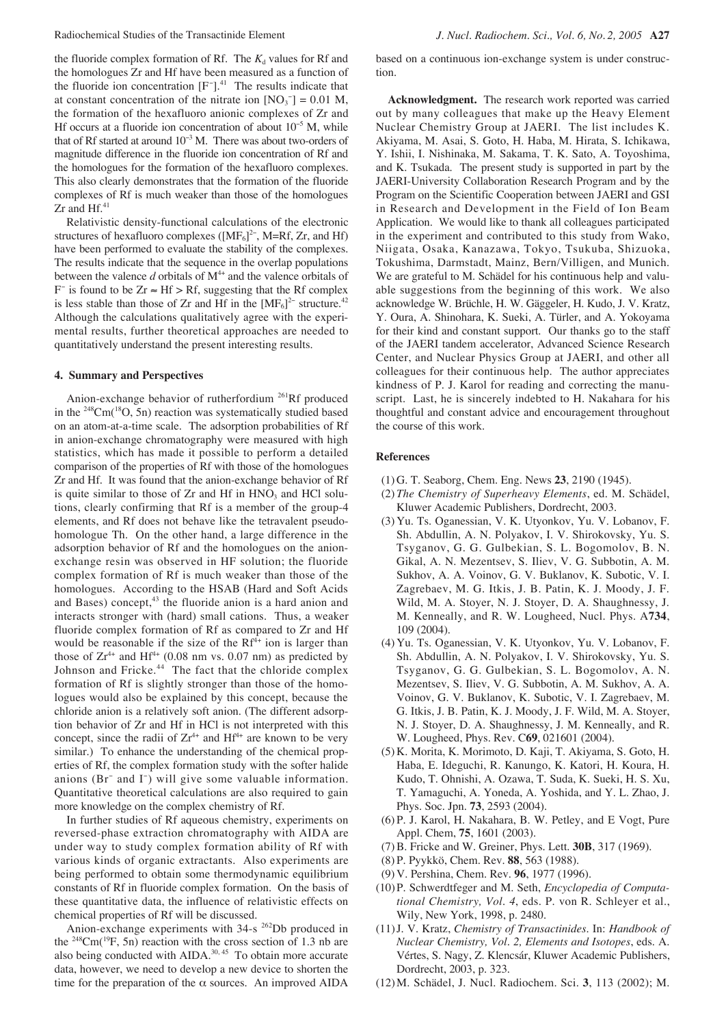the fluoride complex formation of Rf. The  $K_d$  values for Rf and the homologues Zr and Hf have been measured as a function of the fluoride ion concentration  $[F<sup>-</sup>]$ .<sup>41</sup> The results indicate that at constant concentration of the nitrate ion  $[NO<sub>3</sub><sup>-</sup>] = 0.01 M$ , the formation of the hexafluoro anionic complexes of Zr and Hf occurs at a fluoride ion concentration of about 10<sup>-5</sup> M, while that of Rf started at around  $10^{-3}$  M. There was about two-orders of magnitude difference in the fluoride ion concentration of Rf and the homologues for the formation of the hexafluoro complexes. This also clearly demonstrates that the formation of the fluoride complexes of Rf is much weaker than those of the homologues  $Zr$  and Hf. $41$ 

Relativistic density-functional calculations of the electronic structures of hexafluoro complexes ( $[MF_6]^{2-}$ , M=Rf, Zr, and Hf) have been performed to evaluate the stability of the complexes. The results indicate that the sequence in the overlap populations between the valence  $d$  orbitals of  $M<sup>4+</sup>$  and the valence orbitals of F<sup>-</sup> is found to be  $Zr \approx Hf > Rf$ , suggesting that the Rf complex is less stable than those of Zr and Hf in the  $[MF_6]^2$ <sup>-</sup> structure.<sup>42</sup> Although the calculations qualitatively agree with the experimental results, further theoretical approaches are needed to quantitatively understand the present interesting results.

#### **4. Summary and Perspectives**

Anion-exchange behavior of rutherfordium <sup>261</sup>Rf produced in the  $248$ Cm( $18$ O, 5n) reaction was systematically studied based on an atom-at-a-time scale. The adsorption probabilities of Rf in anion-exchange chromatography were measured with high statistics, which has made it possible to perform a detailed comparison of the properties of Rf with those of the homologues Zr and Hf. It was found that the anion-exchange behavior of Rf is quite similar to those of  $Zr$  and  $Hf$  in  $HNO<sub>3</sub>$  and  $HCl$  solutions, clearly confirming that Rf is a member of the group-4 elements, and Rf does not behave like the tetravalent pseudohomologue Th. On the other hand, a large difference in the adsorption behavior of Rf and the homologues on the anionexchange resin was observed in HF solution; the fluoride complex formation of Rf is much weaker than those of the homologues. According to the HSAB (Hard and Soft Acids and Bases) concept,<sup>43</sup> the fluoride anion is a hard anion and interacts stronger with (hard) small cations. Thus, a weaker fluoride complex formation of Rf as compared to Zr and Hf would be reasonable if the size of the  $Rf^{4+}$  ion is larger than those of  $Zr^{4+}$  and  $Hf^{4+}$  (0.08 nm vs. 0.07 nm) as predicted by Johnson and Fricke.<sup>44</sup> The fact that the chloride complex formation of Rf is slightly stronger than those of the homologues would also be explained by this concept, because the chloride anion is a relatively soft anion. (The different adsorption behavior of Zr and Hf in HCl is not interpreted with this concept, since the radii of  $Zr^{4+}$  and  $Hf^{4+}$  are known to be very similar.) To enhance the understanding of the chemical properties of Rf, the complex formation study with the softer halide anions (Br<sup>−</sup> and I<sup>−</sup> ) will give some valuable information. Quantitative theoretical calculations are also required to gain more knowledge on the complex chemistry of Rf.

In further studies of Rf aqueous chemistry, experiments on reversed-phase extraction chromatography with AIDA are under way to study complex formation ability of Rf with various kinds of organic extractants. Also experiments are being performed to obtain some thermodynamic equilibrium constants of Rf in fluoride complex formation. On the basis of these quantitative data, the influence of relativistic effects on chemical properties of Rf will be discussed.

Anion-exchange experiments with 34-s <sup>262</sup>Db produced in the <sup>248</sup>Cm( $^{19}$ F, 5n) reaction with the cross section of 1.3 nb are also being conducted with AIDA.<sup>30, 45</sup> To obtain more accurate data, however, we need to develop a new device to shorten the time for the preparation of the  $\alpha$  sources. An improved AIDA

based on a continuous ion-exchange system is under construction.

**Acknowledgment.** The research work reported was carried out by many colleagues that make up the Heavy Element Nuclear Chemistry Group at JAERI. The list includes K. Akiyama, M. Asai, S. Goto, H. Haba, M. Hirata, S. Ichikawa, Y. Ishii, I. Nishinaka, M. Sakama, T. K. Sato, A. Toyoshima, and K. Tsukada. The present study is supported in part by the JAERI-University Collaboration Research Program and by the Program on the Scientific Cooperation between JAERI and GSI in Research and Development in the Field of Ion Beam Application. We would like to thank all colleagues participated in the experiment and contributed to this study from Wako, Niigata, Osaka, Kanazawa, Tokyo, Tsukuba, Shizuoka, Tokushima, Darmstadt, Mainz, Bern/Villigen, and Munich. We are grateful to M. Schädel for his continuous help and valuable suggestions from the beginning of this work. We also acknowledge W. Brüchle, H. W. Gäggeler, H. Kudo, J. V. Kratz, Y. Oura, A. Shinohara, K. Sueki, A. Türler, and A. Yokoyama for their kind and constant support. Our thanks go to the staff of the JAERI tandem accelerator, Advanced Science Research Center, and Nuclear Physics Group at JAERI, and other all colleagues for their continuous help. The author appreciates kindness of P. J. Karol for reading and correcting the manuscript. Last, he is sincerely indebted to H. Nakahara for his thoughtful and constant advice and encouragement throughout the course of this work.

### **References**

- (1) G. T. Seaborg, Chem. Eng. News **23**, 2190 (1945).
- (2) *The Chemistry of Superheavy Elements*, ed. M. Schädel, Kluwer Academic Publishers, Dordrecht, 2003.
- (3) Yu. Ts. Oganessian, V. K. Utyonkov, Yu. V. Lobanov, F. Sh. Abdullin, A. N. Polyakov, I. V. Shirokovsky, Yu. S. Tsyganov, G. G. Gulbekian, S. L. Bogomolov, B. N. Gikal, A. N. Mezentsev, S. Iliev, V. G. Subbotin, A. M. Sukhov, A. A. Voinov, G. V. Buklanov, K. Subotic, V. I. Zagrebaev, M. G. Itkis, J. B. Patin, K. J. Moody, J. F. Wild, M. A. Stoyer, N. J. Stoyer, D. A. Shaughnessy, J. M. Kenneally, and R. W. Lougheed, Nucl. Phys. A**734**, 109 (2004).
- (4) Yu. Ts. Oganessian, V. K. Utyonkov, Yu. V. Lobanov, F. Sh. Abdullin, A. N. Polyakov, I. V. Shirokovsky, Yu. S. Tsyganov, G. G. Gulbekian, S. L. Bogomolov, A. N. Mezentsev, S. Iliev, V. G. Subbotin, A. M. Sukhov, A. A. Voinov, G. V. Buklanov, K. Subotic, V. I. Zagrebaev, M. G. Itkis, J. B. Patin, K. J. Moody, J. F. Wild, M. A. Stoyer, N. J. Stoyer, D. A. Shaughnessy, J. M. Kenneally, and R. W. Lougheed, Phys. Rev. C**69**, 021601 (2004).
- (5) K. Morita, K. Morimoto, D. Kaji, T. Akiyama, S. Goto, H. Haba, E. Ideguchi, R. Kanungo, K. Katori, H. Koura, H. Kudo, T. Ohnishi, A. Ozawa, T. Suda, K. Sueki, H. S. Xu, T. Yamaguchi, A. Yoneda, A. Yoshida, and Y. L. Zhao, J. Phys. Soc. Jpn. **73**, 2593 (2004).
- (6) P. J. Karol, H. Nakahara, B. W. Petley, and E Vogt, Pure Appl. Chem, **75**, 1601 (2003).
- (7) B. Fricke and W. Greiner, Phys. Lett. **30B**, 317 (1969).
- (8) P. Pyykkö, Chem. Rev. **88**, 563 (1988).
- (9) V. Pershina, Chem. Rev. **96**, 1977 (1996).
- (10)P. Schwerdtfeger and M. Seth, *Encyclopedia of Computational Chemistry, Vol. 4*, eds. P. von R. Schleyer et al., Wily, New York, 1998, p. 2480.
- (11)J. V. Kratz, *Chemistry of Transactinides*. In: *Handbook of Nuclear Chemistry, Vol. 2, Elements and Isotopes*, eds. A. Vértes, S. Nagy, Z. Klencsár, Kluwer Academic Publishers, Dordrecht, 2003, p. 323.
- (12)M. Schädel, J. Nucl. Radiochem. Sci. **3**, 113 (2002); M.